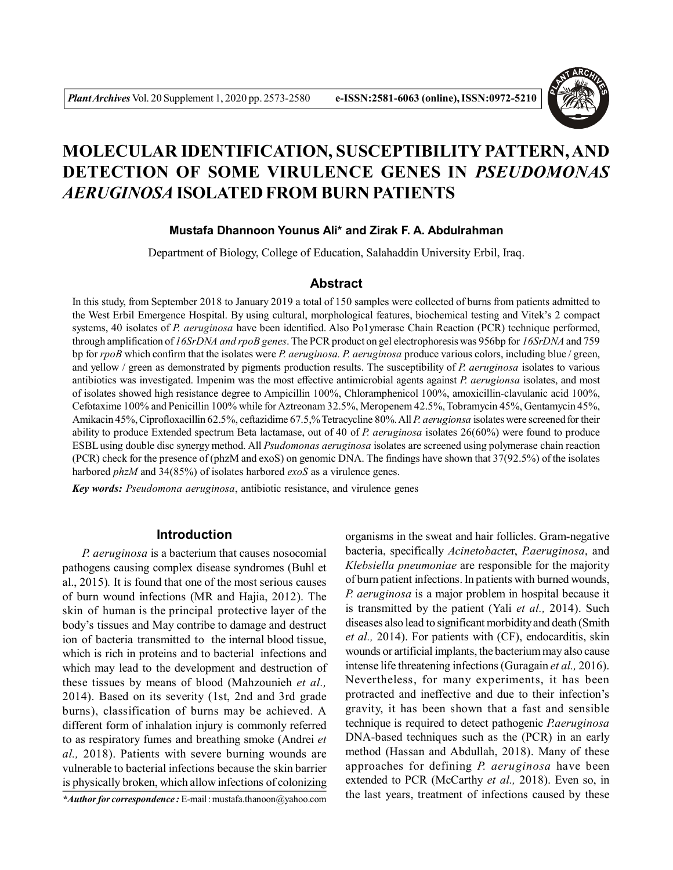

# **MOLECULAR IDENTIFICATION, SUSCEPTIBILITY PATTERN, AND DETECTION OF SOME VIRULENCE GENES IN** *PSEUDOMONAS AERUGINOSA* **ISOLATED FROM BURN PATIENTS**

# **Mustafa Dhannoon Younus Ali\* and Zirak F. A. Abdulrahman**

Department of Biology, College of Education, Salahaddin University Erbil, Iraq.

# **Abstract**

In this study, from September 2018 to January 2019 a total of 150 samples were collected of burns from patients admitted to the West Erbil Emergence Hospital. By using cultural, morphological features, biochemical testing and Vitek's 2 compact systems, 40 isolates of *P. aeruginosa* have been identified. Also Po1ymerase Chain Reaction (PCR) technique performed, through amplification of *16SrDNA and rpoB genes*. The PCR product on gel electrophoresis was 956bp for *16SrDNA* and 759 bp for *rpoB* which confirm that the isolates were *P. aeruginosa. P. aeruginosa* produce various colors, including blue / green, and yellow / green as demonstrated by pigments production results. The susceptibility of *P. aeruginosa* isolates to various antibiotics was investigated. Impenim was the most effective antimicrobial agents against *P. aerugionsa* isolates, and most of isolates showed high resistance degree to Ampicillin 100%, Chloramphenicol 100%, amoxicillin-clavulanic acid 100%, Cefotaxime 100% and Penicillin 100% while for Aztreonam 32.5%, Meropenem 42.5%, Tobramycin 45%, Gentamycin 45%, Amikacin 45%, Ciprofloxacillin 62.5%, ceftazidime 67.5,% Tetracycline 80%. All *P. aerugionsa* isolates were screened for their ability to produce Extended spectrum Beta lactamase, out of 40 of *P. aeruginosa* isolates 26(60%) were found to produce ESBL using double disc synergy method. All *Psudomonas aeruginosa* isolates are screened using polymerase chain reaction (PCR) check for the presence of (phzM and exoS) on genomic DNA. The findings have shown that 37(92.5%) of the isolates harbored *phzM* and 34(85%) of isolates harbored *exoS* as a virulence genes.

*Key words: Pseudomona aeruginosa*, antibiotic resistance, and virulence genes

## **Introduction**

*P. aeruginosa* is a bacterium that causes nosocomial pathogens causing complex disease syndromes (Buhl et al., 2015)*.* It is found that one of the most serious causes of burn wound infections (MR and Hajia, 2012). The skin of human is the principal protective layer of the body's tissues and May contribe to damage and destruct ion of bacteria transmitted to the internal blood tissue, which is rich in proteins and to bacterial infections and which may lead to the development and destruction of these tissues by means of blood (Mahzounieh *et al.,* 2014). Based on its severity (1st, 2nd and 3rd grade burns), classification of burns may be achieved. A different form of inhalation injury is commonly referred to as respiratory fumes and breathing smoke (Andrei *et al.,* 2018). Patients with severe burning wounds are vulnerable to bacterial infections because the skin barrier is physically broken, which allow infections of colonizing

*\*Author for correspondence :* E-mail : mustafa.thanoon@yahoo.com

organisms in the sweat and hair follicles. Gram-negative bacteria, specifically *Acinetobacte*r, *P.aeruginosa*, and *Klebsiella pneumoniae* are responsible for the majority of burn patient infections. In patients with burned wounds, *P. aeruginosa* is a major problem in hospital because it is transmitted by the patient (Yali *et al.,* 2014). Such diseases also lead to significant morbidity and death (Smith *et al.,* 2014). For patients with (CF), endocarditis, skin wounds or artificial implants, the bacterium may also cause intense life threatening infections (Guragain *et al.,* 2016). Nevertheless, for many experiments, it has been protracted and ineffective and due to their infection's gravity, it has been shown that a fast and sensible technique is required to detect pathogenic *P.aeruginosa* DNA-based techniques such as the (PCR) in an early method (Hassan and Abdullah, 2018). Many of these approaches for defining *P. aeruginosa* have been extended to PCR (McCarthy *et al.,* 2018). Even so, in the last years, treatment of infections caused by these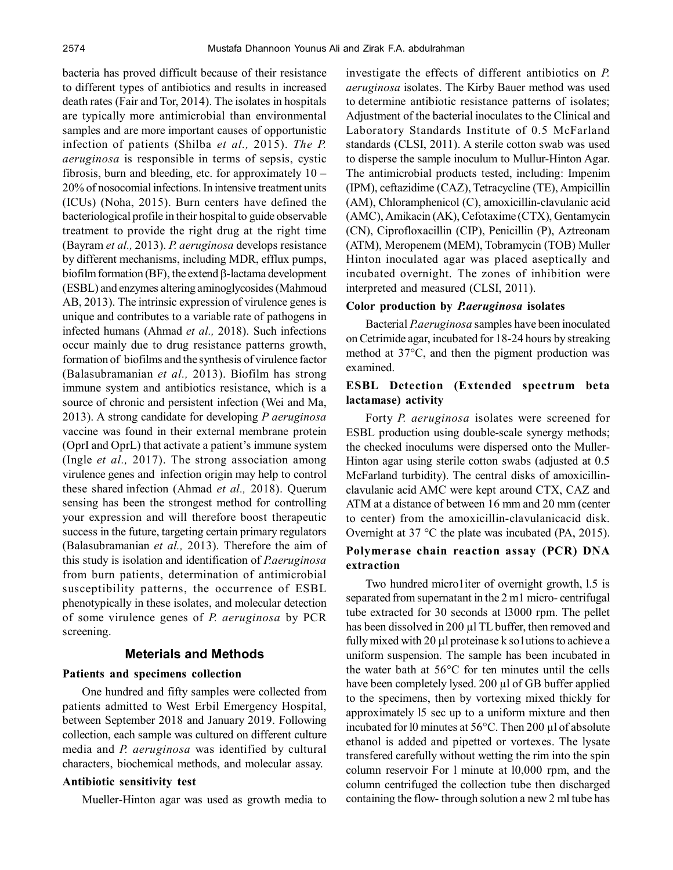bacteria has proved difficult because of their resistance to different types of antibiotics and results in increased death rates (Fair and Tor, 2014). The isolates in hospitals are typically more antimicrobial than environmental samples and are more important causes of opportunistic infection of patients (Shilba *et al.,* 2015). *The P. aeruginosa* is responsible in terms of sepsis, cystic fibrosis, burn and bleeding, etc. for approximately  $10 -$ 20% of nosocomial infections. In intensive treatment units (ICUs) (Noha, 2015). Burn centers have defined the bacteriological profile in their hospital to guide observable treatment to provide the right drug at the right time (Bayram *et al.,* 2013). *P. aeruginosa* develops resistance by different mechanisms, including MDR, efflux pumps, biofilm formation (BF), the extend  $\beta$ -lactama development (ESBL) and enzymes altering aminoglycosides (Mahmoud AB, 2013). The intrinsic expression of virulence genes is unique and contributes to a variable rate of pathogens in infected humans (Ahmad *et al.,* 2018). Such infections occur mainly due to drug resistance patterns growth, formation of biofilms and the synthesis of virulence factor (Balasubramanian *et al.,* 2013). Biofilm has strong immune system and antibiotics resistance, which is a source of chronic and persistent infection (Wei and Ma, 2013). A strong candidate for developing *P aeruginosa* vaccine was found in their external membrane protein (OprI and OprL) that activate a patient's immune system (Ingle *et al.,* 2017). The strong association among virulence genes and infection origin may help to control these shared infection (Ahmad *et al.,* 2018). Querum sensing has been the strongest method for controlling your expression and will therefore boost therapeutic success in the future, targeting certain primary regulators (Balasubramanian *et al.,* 2013). Therefore the aim of this study is isolation and identification of *P.aeruginosa* from burn patients, determination of antimicrobial susceptibility patterns, the occurrence of ESBL phenotypically in these isolates, and molecular detection of some virulence genes of *P. aeruginosa* by PCR screening.

## **Meterials and Methods**

## **Patients and specimens collection**

One hundred and fifty samples were collected from patients admitted to West Erbil Emergency Hospital, between September 2018 and January 2019. Following collection, each sample was cultured on different culture media and *P. aeruginosa* was identified by cultural characters, biochemical methods, and molecular assay.

# **Antibiotic sensitivity test**

Mueller-Hinton agar was used as growth media to

investigate the effects of different antibiotics on *P. aeruginosa* isolates. The Kirby Bauer method was used to determine antibiotic resistance patterns of isolates; Adjustment of the bacterial inoculates to the Clinical and Laboratory Standards Institute of 0.5 McFarland standards (CLSI, 2011). A sterile cotton swab was used to disperse the sample inoculum to Mullur-Hinton Agar. The antimicrobial products tested, including: Impenim (IPM), ceftazidime (CAZ), Tetracycline (TE), Ampicillin (AM), Chloramphenicol (C), amoxicillin-clavulanic acid (AMC), Amikacin (AK), Cefotaxime (CTX), Gentamycin (CN), Ciprofloxacillin (CIP), Penicillin (P), Aztreonam (ATM), Meropenem (MEM), Tobramycin (TOB) Muller Hinton inoculated agar was placed aseptically and incubated overnight. The zones of inhibition were interpreted and measured (CLSI, 2011).

#### **Color production by** *P.aeruginosa* **isolates**

Bacterial *P.aeruginosa* samples have been inoculated on Cetrimide agar, incubated for 18-24 hours by streaking method at 37°C, and then the pigment production was examined.

# **ESBL Detection (Extended spectrum beta lactamase) activity**

Forty *P. aeruginosa* isolates were screened for ESBL production using double-scale synergy methods; the checked inoculums were dispersed onto the Muller-Hinton agar using sterile cotton swabs (adjusted at 0.5 McFarland turbidity). The central disks of amoxicillinclavulanic acid AMC were kept around CTX, CAZ and ATM at a distance of between 16 mm and 20 mm (center to center) from the amoxicillin-clavulanicacid disk. Overnight at 37 °C the plate was incubated (PA, 2015).

# **Polymerase chain reaction assay (PCR) DNA extraction**

Two hundred micro1iter of overnight growth, l.5 is separated from supernatant in the 2 m1 micro- centrifugal tube extracted for 30 seconds at l3000 rpm. The pellet has been dissolved in 200 µl TL buffer, then removed and fully mixed with 20  $\mu$ l proteinase k solutions to achieve a uniform suspension. The sample has been incubated in the water bath at 56°C for ten minutes until the cells have been completely lysed. 200 µl of GB buffer applied to the specimens, then by vortexing mixed thickly for approximately l5 sec up to a uniform mixture and then incubated for l0 minutes at 56°C. Then 200 µl of absolute ethanol is added and pipetted or vortexes. The lysate transfered carefully without wetting the rim into the spin column reservoir For l minute at l0,000 rpm, and the column centrifuged the collection tube then discharged containing the flow- through solution a new 2 ml tube has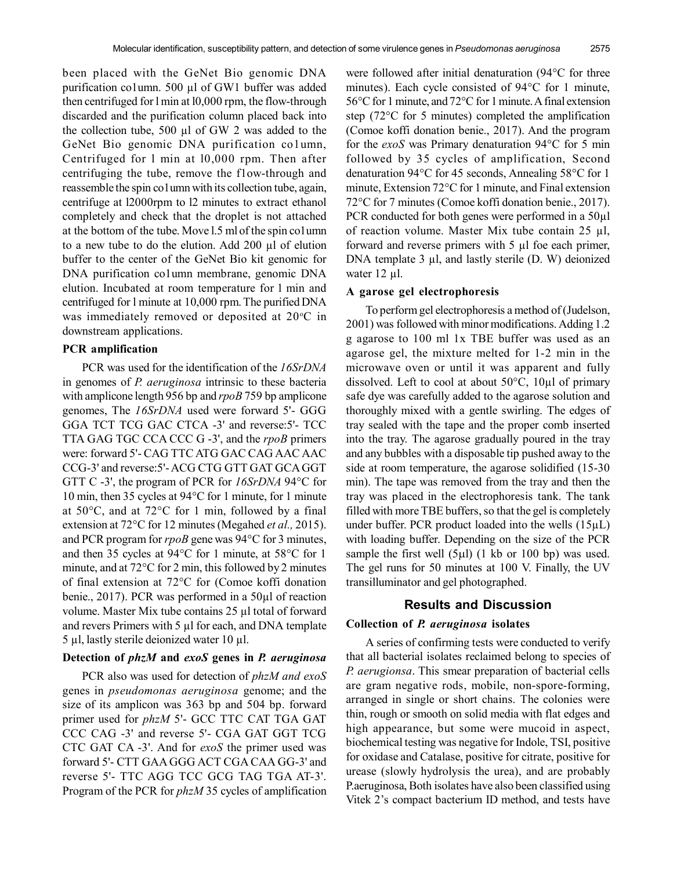been placed with the GeNet Bio genomic DNA purification co1umn. 500 µl of GW1 buffer was added then centrifuged for l min at l0,000 rpm, the flow-through discarded and the purification column placed back into the collection tube, 500 µl of GW 2 was added to the GeNet Bio genomic DNA purification co1umn, Centrifuged for l min at l0,000 rpm. Then after centrifuging the tube, remove the f1ow-through and reassemble the spin co1umn with its collection tube, again, centrifuge at l2000rpm to l2 minutes to extract ethanol completely and check that the droplet is not attached at the bottom of the tube. Move l.5 ml of the spin co1umn to a new tube to do the elution. Add 200 µl of elution buffer to the center of the GeNet Bio kit genomic for DNA purification co1umn membrane, genomic DNA elution. Incubated at room temperature for 1 min and centrifuged for l minute at 10,000 rpm. The purified DNA was immediately removed or deposited at  $20^{\circ}$ C in downstream applications.

## **PCR amplification**

PCR was used for the identification of the *16SrDNA* in genomes of *P. aeruginosa* intrinsic to these bacteria with amplicone length 956 bp and *rpoB* 759 bp amplicone genomes, The *16SrDNA* used were forward 5'- GGG GGA TCT TCG GAC CTCA -3' and reverse:5'- TCC TTA GAG TGC CCA CCC G -3', and the *rpoB* primers were: forward 5'- CAG TTC ATG GAC CAG AAC AAC CCG-3' and reverse:5'- ACG CTG GTT GAT GCA GGT GTT C -3', the program of PCR for *16SrDNA* 94°C for 10 min, then 35 cycles at 94°C for 1 minute, for 1 minute at 50°C, and at 72°C for 1 min, followed by a final extension at 72°C for 12 minutes (Megahed *et al.,* 2015). and PCR program for *rpoB* gene was 94°C for 3 minutes, and then 35 cycles at 94°C for 1 minute, at 58°C for 1 minute, and at 72°C for 2 min, this followed by 2 minutes of final extension at 72°C for (Comoe koffi donation benie., 2017). PCR was performed in a 50µl of reaction volume. Master Mix tube contains 25 µl total of forward and revers Primers with 5 µl for each, and DNA template 5 µl, lastly sterile deionized water 10 µl.

## **Detection of** *phzM* **and** *exoS* **genes in** *P. aeruginosa*

PCR also was used for detection of *phzM and exoS* genes in *pseudomonas aeruginosa* genome; and the size of its amplicon was 363 bp and 504 bp. forward primer used for *phzM* 5'- GCC TTC CAT TGA GAT CCC CAG -3' and reverse 5'- CGA GAT GGT TCG CTC GAT CA -3'. And for *exoS* the primer used was forward 5'- CTT GAA GGG ACT CGA CAA GG-3' and reverse 5'- TTC AGG TCC GCG TAG TGA AT-3'. Program of the PCR for *phzM* 35 cycles of amplification

were followed after initial denaturation (94°C for three minutes). Each cycle consisted of 94°C for 1 minute, 56°C for 1 minute, and 72°C for 1 minute. A final extension step (72°C for 5 minutes) completed the amplification (Comoe koffi donation benie., 2017). And the program for the *exoS* was Primary denaturation 94°C for 5 min followed by 35 cycles of amplification, Second denaturation 94°C for 45 seconds, Annealing 58°C for 1 minute, Extension 72°C for 1 minute, and Final extension 72°C for 7 minutes (Comoe koffi donation benie., 2017). PCR conducted for both genes were performed in a 50µl of reaction volume. Master Mix tube contain 25 µl, forward and reverse primers with 5 µl foe each primer, DNA template 3 µl, and lastly sterile (D. W) deionized water 12 µl.

#### **A garose gel electrophoresis**

To perform gel electrophoresis a method of (Judelson, 2001) was followed with minor modifications. Adding 1.2 g agarose to 100 ml 1x TBE buffer was used as an agarose gel, the mixture melted for 1-2 min in the microwave oven or until it was apparent and fully dissolved. Left to cool at about 50°C, 10µl of primary safe dye was carefully added to the agarose solution and thoroughly mixed with a gentle swirling. The edges of tray sealed with the tape and the proper comb inserted into the tray. The agarose gradually poured in the tray and any bubbles with a disposable tip pushed away to the side at room temperature, the agarose solidified (15-30 min). The tape was removed from the tray and then the tray was placed in the electrophoresis tank. The tank filled with more TBE buffers, so that the gel is completely under buffer. PCR product loaded into the wells (15µL) with loading buffer. Depending on the size of the PCR sample the first well  $(5\mu l)$  (1 kb or 100 bp) was used. The gel runs for 50 minutes at 100 V. Finally, the UV transilluminator and gel photographed.

## **Results and Discussion**

## **Collection of** *P. aeruginosa* **isolates**

A series of confirming tests were conducted to verify that all bacterial isolates reclaimed belong to species of *P. aerugionsa*. This smear preparation of bacterial cells are gram negative rods, mobile, non-spore-forming, arranged in single or short chains. The colonies were thin, rough or smooth on solid media with flat edges and high appearance, but some were mucoid in aspect, biochemical testing was negative for Indole, TSI, positive for oxidase and Catalase, positive for citrate, positive for urease (slowly hydrolysis the urea), and are probably P.aeruginosa, Both isolates have also been classified using Vitek 2's compact bacterium ID method, and tests have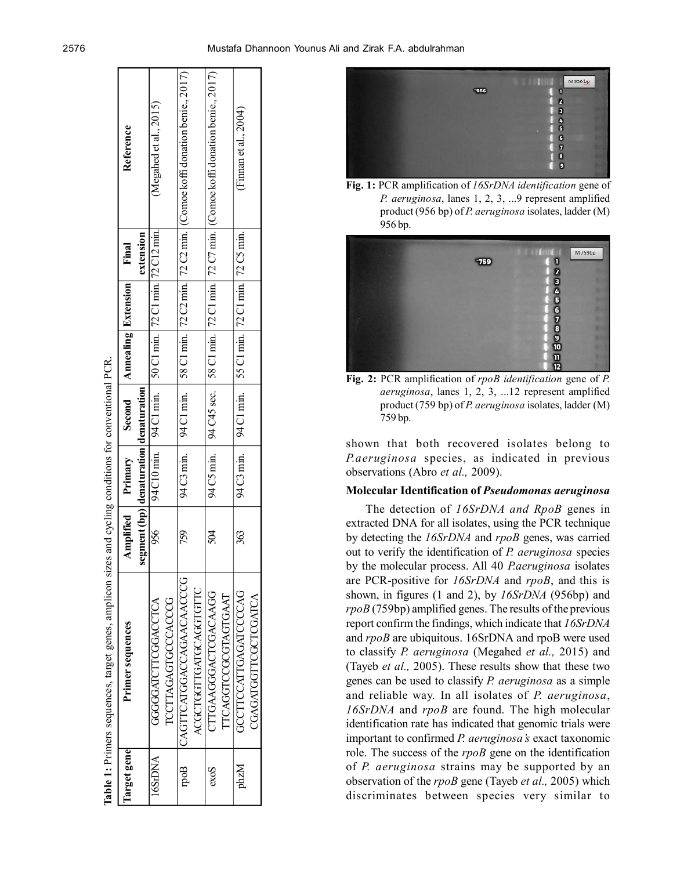

**Fig. 1:** PCR amplification of *16SrDNA identification* gene of *P. aeruginosa*, lanes 1, 2, 3, ...9 represent amplified product (956 bp) of *P. aeruginosa* isolates, ladder (M) 956 bp.



**Fig. 2:** PCR amplification of *rpoB identification* gene of *P. aeruginosa*, lanes 1, 2, 3, ...12 represent amplified product (759 bp) of *P. aeruginosa* isolates, ladder (M) 759 bp.

shown that both recovered isolates belong to *P.aeruginosa* species, as indicated in previous observations (Abro *et al.,* 2009).

# **Molecular Identification of** *Pseudomonas aeruginosa*

The detection of *16SrDNA and RpoB* genes in extracted DNA for all isolates, using the PCR technique by detecting the *16SrDNA* and *rpoB* genes, was carried out to verify the identification of *P. aeruginosa* species by the molecular process. All 40 *P.aeruginosa* isolates are PCR-positive for *16SrDNA* and *rpoB*, and this is shown, in figures (1 and 2), by *16SrDNA* (956bp) and *rpoB* (759bp) amplified genes. The results of the previous report confirm the findings, which indicate that *16SrDNA* and *rpoB* are ubiquitous. 16SrDNA and rpoB were used to classify *P. aeruginosa* (Megahed *et al.,* 2015) and (Tayeb *et al.,* 2005). These results show that these two genes can be used to classify *P. aeruginosa* as a simple and reliable way. In all isolates of *P. aeruginosa*, *16SrDNA* and *rpoB* are found. The high molecular identification rate has indicated that genomic trials were important to confirmed *P. aeruginosa's* exact taxonomic role. The success of the *rpoB* gene on the identification of *P. aeruginosa* strains may be supported by an observation of the *rpoB* gene (Tayeb *et al.,* 2005) which discriminates between species very similar to

| Target gene | Primer sequences            |                                        | Amplified Primary | Second Annealing Extension                                       |  | Final     | Reference                                                                                |
|-------------|-----------------------------|----------------------------------------|-------------------|------------------------------------------------------------------|--|-----------|------------------------------------------------------------------------------------------|
|             |                             | segment (bp) denaturation denaturation |                   |                                                                  |  | extension |                                                                                          |
| 16SrDNA     | GGGGATCTTCGACCTCA           | 956                                    |                   | 94 C10 min.   94 C1 min.   50 C1 min.   72 C1 min.   72 C12 min. |  |           | (Megahed et al., 2015)                                                                   |
|             | <b>ICCTTAGAGTGCCCACCG</b>   |                                        |                   |                                                                  |  |           |                                                                                          |
| poB         | CAGTTCATGGACCAGAACAACCG     | 759                                    | 94 C3 min.        | 94 C1 min.                                                       |  |           | 58 C1 min.   72 C2 min.   72 C2 min. $ $ (Comoe koffi donation benie., 2017)             |
|             | ACGCTGGTTGATGCAGGTGTTC      |                                        |                   |                                                                  |  |           |                                                                                          |
| exos        | CITGAAGGGACTCGACAAGG        | 28                                     |                   |                                                                  |  |           | 94 C45 sec.   58 C1 min.   72 C1 min.   72 C7 min.   (Comoe koffi donation benie., 2017) |
|             | TTCAGGTCCGCGTAGTGAAT        |                                        |                   |                                                                  |  |           |                                                                                          |
| phzM        | GCCITCCATTGAGCCCCAG         | 363                                    | 94 C3 min.        | 94 C1 min. $\mid$ 55 C1 min. $\mid$ 72 C1 min. $\mid$ 72 C5 min. |  |           | (Finnan et al., $2004$ )                                                                 |
|             | <b>CGAGATGGTTCGCTCGATCA</b> |                                        |                   |                                                                  |  |           |                                                                                          |
|             |                             |                                        |                   |                                                                  |  |           |                                                                                          |

**Table 1:** Primers sequences, target genes, amplicon sizes and cycling conditions for conventional PCR. target genes, amplicon sizes and cycling conditions for conventional PCR lable 1: Primers sequences,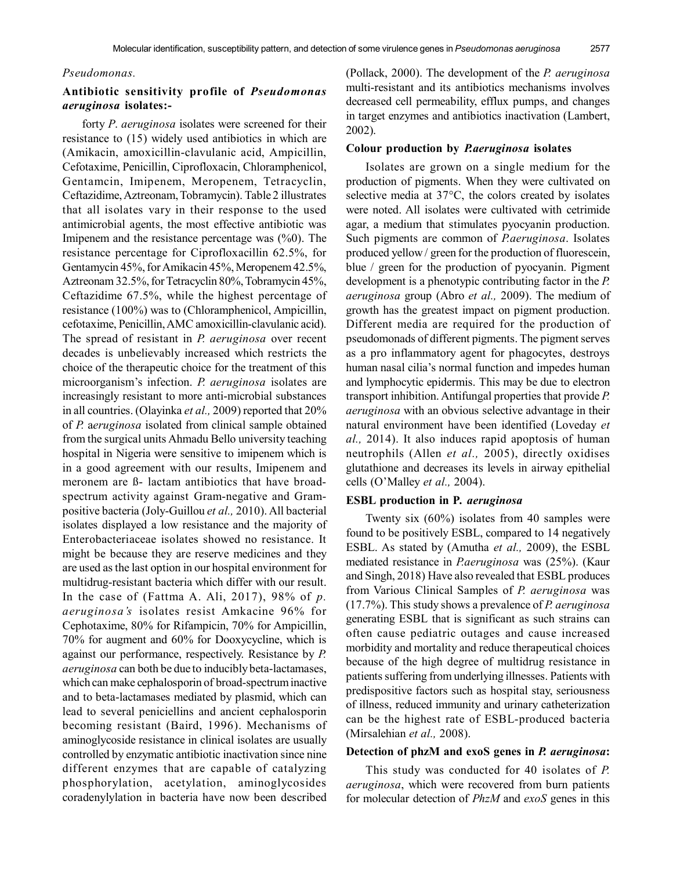## *Pseudomonas.*

# **Antibiotic sensitivity profile of** *Pseudomonas aeruginosa* **isolates:-**

forty *P*. *aeruginosa* isolates were screened for their resistance to (15) widely used antibiotics in which are (Amikacin, amoxicillin-clavulanic acid, Ampicillin, Cefotaxime, Penicillin, Ciprofloxacin, Chloramphenicol, Gentamcin, Imipenem, Meropenem, Tetracyclin, Ceftazidime, Aztreonam, Tobramycin). Table 2 illustrates that all isolates vary in their response to the used antimicrobial agents, the most effective antibiotic was Imipenem and the resistance percentage was (%0). The resistance percentage for Ciprofloxacillin 62.5%, for Gentamycin 45%, for Amikacin 45%, Meropenem 42.5%, Aztreonam 32.5%, for Tetracyclin 80%, Tobramycin 45%, Ceftazidime 67.5%, while the highest percentage of resistance (100%) was to (Chloramphenicol, Ampicillin, cefotaxime, Penicillin, AMC amoxicillin-clavulanic acid). The spread of resistant in *P. aeruginosa* over recent decades is unbelievably increased which restricts the choice of the therapeutic choice for the treatment of this microorganism's infection. *P. aeruginosa* isolates are increasingly resistant to more anti-microbial substances in all countries. (Olayinka *et al.,* 2009) reported that 20% of *P.* a*eruginosa* isolated from clinical sample obtained from the surgical units Ahmadu Bello university teaching hospital in Nigeria were sensitive to imipenem which is in a good agreement with our results, Imipenem and meronem are ß- lactam antibiotics that have broadspectrum activity against Gram-negative and Grampositive bacteria (Joly-Guillou *et al.,* 2010). All bacterial isolates displayed a low resistance and the majority of Enterobacteriaceae isolates showed no resistance. It might be because they are reserve medicines and they are used as the last option in our hospital environment for multidrug-resistant bacteria which differ with our result. In the case of (Fattma A. Ali, 2017), 98% of *p. aeruginosa's* isolates resist Amkacine 96% for Cephotaxime, 80% for Rifampicin, 70% for Ampicillin, 70% for augment and 60% for Dooxycycline, which is against our performance, respectively. Resistance by *P. aeruginosa* can both be due to inducibly beta-lactamases, which can make cephalosporin of broad-spectrum inactive and to beta-lactamases mediated by plasmid, which can lead to several peniciellins and ancient cephalosporin becoming resistant (Baird, 1996). Mechanisms of aminoglycoside resistance in clinical isolates are usually controlled by enzymatic antibiotic inactivation since nine different enzymes that are capable of catalyzing phosphorylation, acetylation, aminoglycosides coradenylylation in bacteria have now been described

(Pollack, 2000). The development of the *P. aeruginosa* multi-resistant and its antibiotics mechanisms involves decreased cell permeability, efflux pumps, and changes in target enzymes and antibiotics inactivation (Lambert, 2002).

## **Colour production by** *P.aeruginosa* **isolates**

Isolates are grown on a single medium for the production of pigments. When they were cultivated on selective media at 37°C, the colors created by isolates were noted. All isolates were cultivated with cetrimide agar, a medium that stimulates pyocyanin production. Such pigments are common of *P.aeruginosa*. Isolates produced yellow / green for the production of fluorescein, blue / green for the production of pyocyanin. Pigment development is a phenotypic contributing factor in the *P. aeruginosa* group (Abro *et al.,* 2009). The medium of growth has the greatest impact on pigment production. Different media are required for the production of pseudomonads of different pigments. The pigment serves as a pro inflammatory agent for phagocytes, destroys human nasal cilia's normal function and impedes human and lymphocytic epidermis. This may be due to electron transport inhibition. Antifungal properties that provide *P. aeruginosa* with an obvious selective advantage in their natural environment have been identified (Loveday *et al.,* 2014). It also induces rapid apoptosis of human neutrophils (Allen *et al.,* 2005), directly oxidises glutathione and decreases its levels in airway epithelial cells (O'Malley *et al.,* 2004).

## **ESBL production in P***. aeruginosa*

Twenty six (60%) isolates from 40 samples were found to be positively ESBL, compared to 14 negatively ESBL. As stated by (Amutha *et al.,* 2009), the ESBL mediated resistance in *P.aeruginosa* was (25%). (Kaur and Singh, 2018) Have also revealed that ESBL produces from Various Clinical Samples of *P. aeruginosa* was (17.7%). This study shows a prevalence of *P. aeruginosa* generating ESBL that is significant as such strains can often cause pediatric outages and cause increased morbidity and mortality and reduce therapeutical choices because of the high degree of multidrug resistance in patients suffering from underlying illnesses. Patients with predispositive factors such as hospital stay, seriousness of illness, reduced immunity and urinary catheterization can be the highest rate of ESBL-produced bacteria (Mirsalehian *et al.,* 2008).

# **Detection of phzM and exoS genes in** *P. aeruginosa***:**

This study was conducted for 40 isolates of *P. aeruginosa*, which were recovered from burn patients for molecular detection of *PhzM* and *exoS* genes in this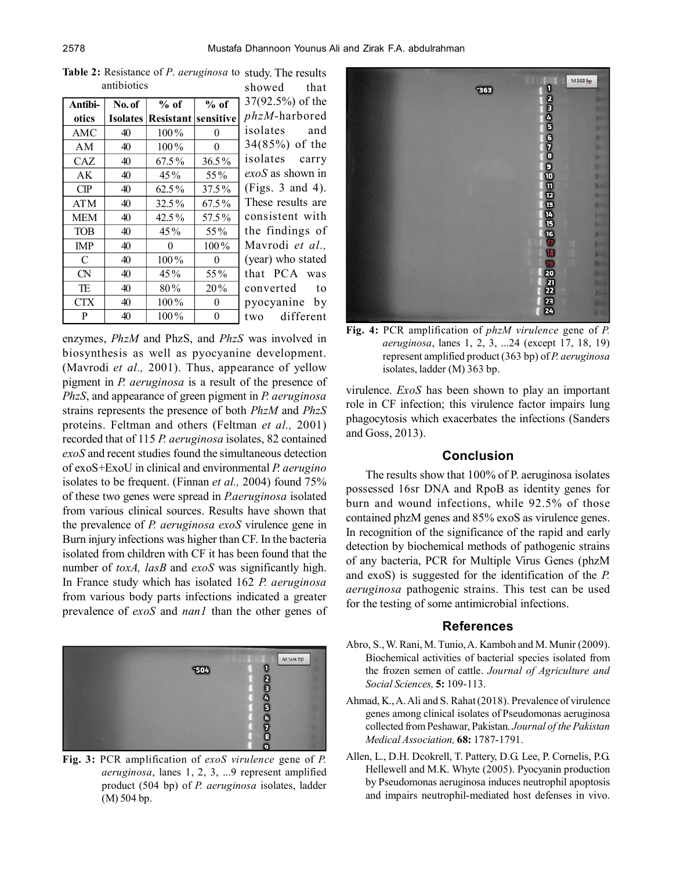| Antibi-    | No. of | $%$ of                              | $%$ of   | 37(92.               |
|------------|--------|-------------------------------------|----------|----------------------|
| otics      |        | <b>Isolates Resistant sensitive</b> |          | phzM                 |
| AMC        | 40     | $100\%$                             | 0        | isolate              |
| AΜ         | 40     | 100%                                | 0        | 34(85)               |
| CAZ.       | 40     | 67.5%                               | $36.5\%$ | isolat               |
| AK         | 40     | $45\%$                              | 55%      | exoS a:              |
| CP         | 40     | 62.5%                               | 37.5%    | (Figs.               |
| ATM        | 40     | $32.5\%$                            | 67.5%    | These                |
| <b>MEM</b> | 40     | 42.5%                               | 57.5%    | cons <sub>1</sub> s  |
| <b>TOB</b> | 40     | $45\%$                              | 55%      | the fin              |
| <b>IMP</b> | 40     | 0                                   | $100\%$  | Mavrc                |
| C          | 40     | $100\%$                             | 0        | (year)               |
| <b>CN</b>  | 40     | $45\%$                              | 55%      | $\mathbf{I}$<br>that |
| TE         | 40     | $80\%$                              | 20%      | convei               |
| CTX        | 40     | $100\%$                             | $^{(1)}$ | руосу                |
| P          | 40     | $100\%$                             | 0        | two                  |

**Table 2:** Resistance of *P*. *aeruginosa* to study. The results antibiotics showed that

 $5\%$ ) of the *phzM*-harbored es and  $%$ ) of the es carry *exoS* as shown in  $3$  and  $4$ ). results are tent with ndings of odi *et al.*, who stated PCA was rted to anine by different

enzymes, *PhzM* and PhzS, and *PhzS* was involved in biosynthesis as well as pyocyanine development. (Mavrodi *et al.,* 2001). Thus, appearance of yellow pigment in *P. aeruginosa* is a result of the presence of *PhzS*, and appearance of green pigment in *P. aeruginosa* strains represents the presence of both *PhzM* and *PhzS* proteins. Feltman and others (Feltman *et al.,* 2001) recorded that of 115 *P. aeruginosa* isolates, 82 contained *exoS* and recent studies found the simultaneous detection of exoS+ExoU in clinical and environmental *P. aerugino* isolates to be frequent. (Finnan *et al.,* 2004) found 75% of these two genes were spread in *P.aeruginosa* isolated from various clinical sources. Results have shown that the prevalence of *P. aeruginosa exoS* virulence gene in Burn injury infections was higher than CF. In the bacteria isolated from children with CF it has been found that the number of *toxA, lasB* and *exoS* was significantly high. In France study which has isolated 162 *P. aeruginosa* from various body parts infections indicated a greater prevalence of *exoS* and *nan1* than the other genes of



**Fig. 3:** PCR amplification of *exoS virulence* gene of *P. aeruginosa*, lanes 1, 2, 3, ...9 represent amplified product (504 bp) of *P. aeruginosa* isolates, ladder (M) 504 bp.



**Fig. 4:** PCR amplification of *phzM virulence* gene of *P. aeruginosa*, lanes 1, 2, 3, ...24 (except 17, 18, 19) represent amplified product (363 bp) of *P. aeruginosa* isolates, ladder (M) 363 bp.

virulence. *ExoS* has been shown to play an important role in CF infection; this virulence factor impairs lung phagocytosis which exacerbates the infections (Sanders and Goss, 2013).

## **Conclusion**

The results show that 100% of P. aeruginosa isolates possessed 16sr DNA and RpoB as identity genes for burn and wound infections, while 92.5% of those contained phzM genes and 85% exoS as virulence genes. In recognition of the significance of the rapid and early detection by biochemical methods of pathogenic strains of any bacteria, PCR for Multiple Virus Genes (phzM and exoS) is suggested for the identification of the *P. aeruginosa* pathogenic strains. This test can be used for the testing of some antimicrobial infections.

#### **References**

- Abro, S., W. Rani, M. Tunio, A. Kamboh and M. Munir (2009). Biochemical activities of bacterial species isolated from the frozen semen of cattle. *Journal of Agriculture and Social Sciences,* **5:** 109-113.
- Ahmad, K., A. Ali and S. Rahat (2018). Prevalence of virulence genes among clinical isolates of Pseudomonas aeruginosa collected from Peshawar, Pakistan. *Journal of the Pakistan Medical Association,* **68:** 1787-1791.
- Allen, L., D.H. Dcokrell, T. Pattery, D.G. Lee, P. Cornelis, P.G. Hellewell and M.K. Whyte (2005). Pyocyanin production by Pseudomonas aeruginosa induces neutrophil apoptosis and impairs neutrophil-mediated host defenses in vivo.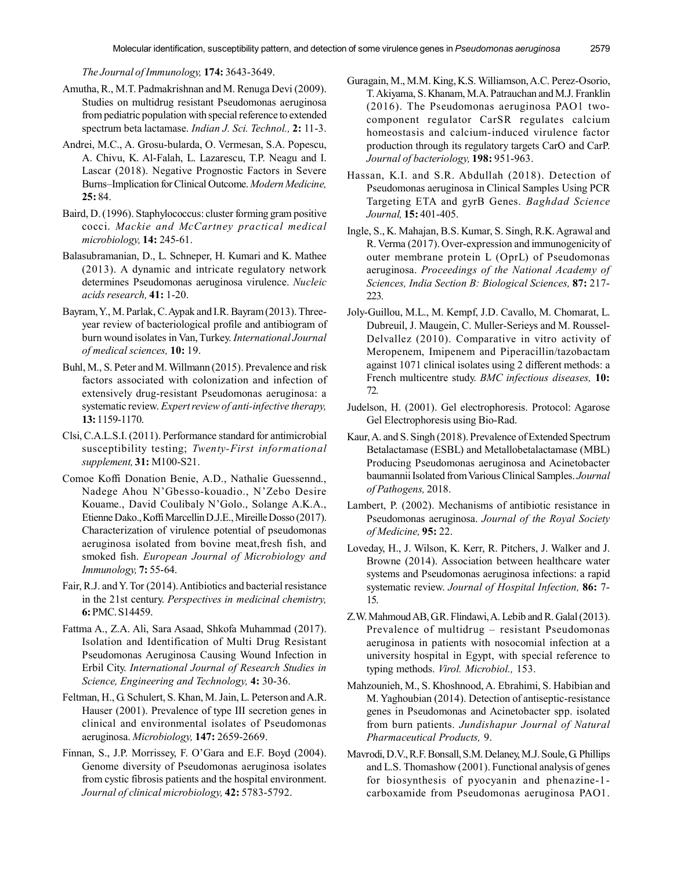*The Journal of Immunology,* **174:** 3643-3649.

- Amutha, R., M.T. Padmakrishnan and M. Renuga Devi (2009). Studies on multidrug resistant Pseudomonas aeruginosa from pediatric population with special reference to extended spectrum beta lactamase. *Indian J. Sci. Technol.,* **2:** 11-3.
- Andrei, M.C., A. Grosu-bularda, O. Vermesan, S.A. Popescu, A. Chivu, K. Al-Falah, L. Lazarescu, T.P. Neagu and I. Lascar (2018). Negative Prognostic Factors in Severe Burns–Implication for Clinical Outcome. *Modern Medicine,* **25:** 84.
- Baird, D. (1996). Staphylococcus: cluster forming gram positive cocci. *Mackie and McCartney practical medical microbiology,* **14:** 245-61.
- Balasubramanian, D., L. Schneper, H. Kumari and K. Mathee (2013). A dynamic and intricate regulatory network determines Pseudomonas aeruginosa virulence. *Nucleic acids research,* **41:** 1-20.
- Bayram, Y., M. Parlak, C. Aypak and I.R. Bayram (2013). Threeyear review of bacteriological profile and antibiogram of burn wound isolates in Van, Turkey. *International Journal of medical sciences,* **10:** 19.
- Buhl, M., S. Peter and M. Willmann (2015). Prevalence and risk factors associated with colonization and infection of extensively drug-resistant Pseudomonas aeruginosa: a systematic review. *Expert review of anti-infective therapy,* **13:** 1159-1170.
- Clsi, C.A.L.S.I. (2011). Performance standard for antimicrobial susceptibility testing; *Twenty-First informational supplement,* **31:** M100-S21.
- Comoe Koffi Donation Benie, A.D., Nathalie Guessennd., Nadege Ahou N'Gbesso-kouadio., N'Zebo Desire Kouame., David Coulibaly N'Golo., Solange A.K.A., Etienne Dako., Koffi Marcellin D.J.E., Mireille Dosso (2017). Characterization of virulence potential of pseudomonas aeruginosa isolated from bovine meat,fresh fish, and smoked fish. *European Journal of Microbiology and Immunology,* **7:** 55-64.
- Fair, R.J. and Y. Tor (2014). Antibiotics and bacterial resistance in the 21st century. *Perspectives in medicinal chemistry,* **6:** PMC. S14459.
- Fattma A., Z.A. Ali, Sara Asaad, Shkofa Muhammad (2017). Isolation and Identification of Multi Drug Resistant Pseudomonas Aeruginosa Causing Wound Infection in Erbil City. *International Journal of Research Studies in Science, Engineering and Technology,* **4:** 30-36.
- Feltman, H., G. Schulert, S. Khan, M. Jain, L. Peterson and A.R. Hauser (2001). Prevalence of type III secretion genes in clinical and environmental isolates of Pseudomonas aeruginosa. *Microbiology,* **147:** 2659-2669.
- Finnan, S., J.P. Morrissey, F. O'Gara and E.F. Boyd (2004). Genome diversity of Pseudomonas aeruginosa isolates from cystic fibrosis patients and the hospital environment. *Journal of clinical microbiology,* **42:** 5783-5792.
- Guragain, M., M.M. King, K.S. Williamson, A.C. Perez-Osorio, T. Akiyama, S. Khanam, M.A. Patrauchan and M.J. Franklin (2016). The Pseudomonas aeruginosa PAO1 twocomponent regulator CarSR regulates calcium homeostasis and calcium-induced virulence factor production through its regulatory targets CarO and CarP. *Journal of bacteriology,* **198:** 951-963.
- Hassan, K.I. and S.R. Abdullah (2018). Detection of Pseudomonas aeruginosa in Clinical Samples Using PCR Targeting ETA and gyrB Genes. *Baghdad Science Journal,* **15:** 401-405.
- Ingle, S., K. Mahajan, B.S. Kumar, S. Singh, R.K. Agrawal and R. Verma (2017). Over-expression and immunogenicity of outer membrane protein L (OprL) of Pseudomonas aeruginosa. *Proceedings of the National Academy of Sciences, India Section B: Biological Sciences,* **87:** 217- 223.
- Joly-Guillou, M.L., M. Kempf, J.D. Cavallo, M. Chomarat, L. Dubreuil, J. Maugein, C. Muller-Serieys and M. Roussel-Delvallez (2010). Comparative in vitro activity of Meropenem, Imipenem and Piperacillin/tazobactam against 1071 clinical isolates using 2 different methods: a French multicentre study. *BMC infectious diseases,* **10:** 72.
- Judelson, H. (2001). Gel electrophoresis. Protocol: Agarose Gel Electrophoresis using Bio-Rad.
- Kaur, A. and S. Singh (2018). Prevalence of Extended Spectrum Betalactamase (ESBL) and Metallobetalactamase (MBL) Producing Pseudomonas aeruginosa and Acinetobacter baumannii Isolated from Various Clinical Samples. *Journal of Pathogens,* 2018.
- Lambert, P. (2002). Mechanisms of antibiotic resistance in Pseudomonas aeruginosa. *Journal of the Royal Society of Medicine,* **95:** 22.
- Loveday, H., J. Wilson, K. Kerr, R. Pitchers, J. Walker and J. Browne (2014). Association between healthcare water systems and Pseudomonas aeruginosa infections: a rapid systematic review. *Journal of Hospital Infection,* **86:** 7- 15.
- Z.W. Mahmoud AB, GR. Flindawi, A. Lebib and R. Galal (2013). Prevalence of multidrug – resistant Pseudomonas aeruginosa in patients with nosocomial infection at a university hospital in Egypt, with special reference to typing methods. *Virol. Microbiol.,* 153.
- Mahzounieh, M., S. Khoshnood, A. Ebrahimi, S. Habibian and M. Yaghoubian (2014). Detection of antiseptic-resistance genes in Pseudomonas and Acinetobacter spp. isolated from burn patients. *Jundishapur Journal of Natural Pharmaceutical Products,* 9.
- Mavrodi, D.V., R.F. Bonsall, S.M. Delaney, M.J. Soule, G. Phillips and L.S. Thomashow (2001). Functional analysis of genes for biosynthesis of pyocyanin and phenazine-1 carboxamide from Pseudomonas aeruginosa PAO1.